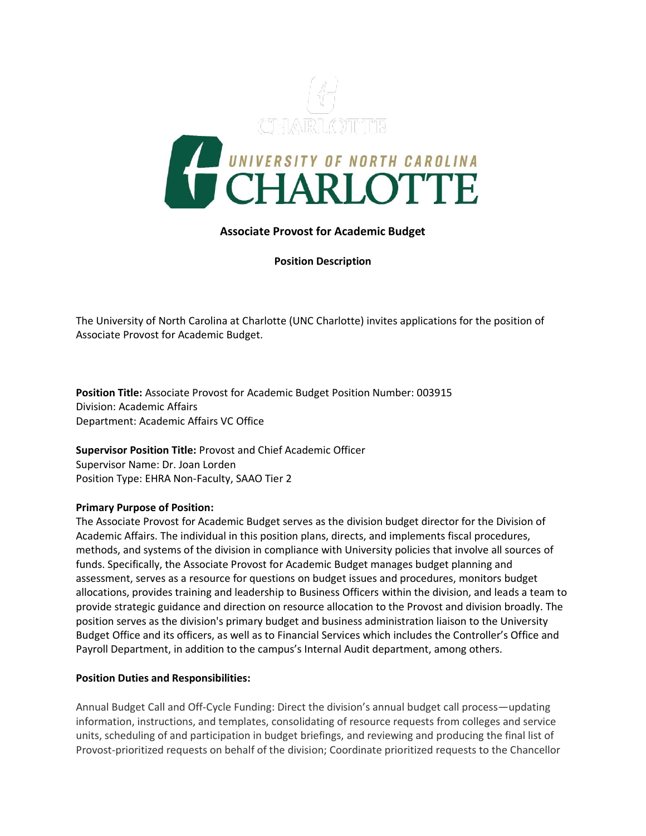

## **Associate Provost for Academic Budget**

**Position Description**

The University of North Carolina at Charlotte (UNC Charlotte) invites applications for the position of Associate Provost for Academic Budget.

**Position Title:** Associate Provost for Academic Budget Position Number: 003915 Division: Academic Affairs Department: Academic Affairs VC Office

**Supervisor Position Title:** Provost and Chief Academic Officer Supervisor Name: Dr. Joan Lorden Position Type: EHRA Non-Faculty, SAAO Tier 2

## **Primary Purpose of Position:**

The Associate Provost for Academic Budget serves as the division budget director for the Division of Academic Affairs. The individual in this position plans, directs, and implements fiscal procedures, methods, and systems of the division in compliance with University policies that involve all sources of funds. Specifically, the Associate Provost for Academic Budget manages budget planning and assessment, serves as a resource for questions on budget issues and procedures, monitors budget allocations, provides training and leadership to Business Officers within the division, and leads a team to provide strategic guidance and direction on resource allocation to the Provost and division broadly. The position serves as the division's primary budget and business administration liaison to the University Budget Office and its officers, as well as to Financial Services which includes the Controller's Office and Payroll Department, in addition to the campus's Internal Audit department, among others.

## **Position Duties and Responsibilities:**

Annual Budget Call and Off-Cycle Funding: Direct the division's annual budget call process—updating information, instructions, and templates, consolidating of resource requests from colleges and service units, scheduling of and participation in budget briefings, and reviewing and producing the final list of Provost-prioritized requests on behalf of the division; Coordinate prioritized requests to the Chancellor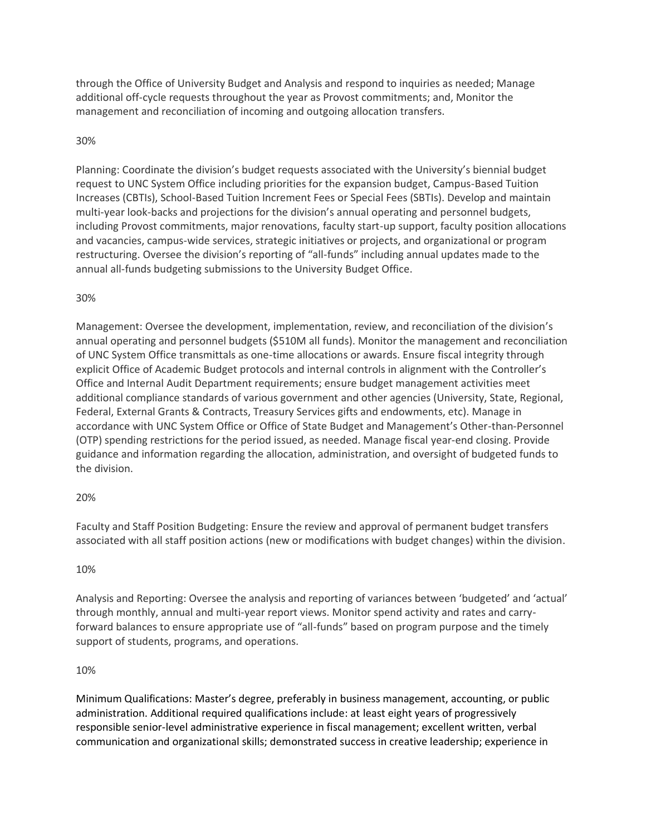through the Office of University Budget and Analysis and respond to inquiries as needed; Manage additional off-cycle requests throughout the year as Provost commitments; and, Monitor the management and reconciliation of incoming and outgoing allocation transfers.

# 30%

Planning: Coordinate the division's budget requests associated with the University's biennial budget request to UNC System Office including priorities for the expansion budget, Campus-Based Tuition Increases (CBTIs), School-Based Tuition Increment Fees or Special Fees (SBTIs). Develop and maintain multi-year look-backs and projections for the division's annual operating and personnel budgets, including Provost commitments, major renovations, faculty start-up support, faculty position allocations and vacancies, campus-wide services, strategic initiatives or projects, and organizational or program restructuring. Oversee the division's reporting of "all-funds" including annual updates made to the annual all-funds budgeting submissions to the University Budget Office.

## 30%

Management: Oversee the development, implementation, review, and reconciliation of the division's annual operating and personnel budgets (\$510M all funds). Monitor the management and reconciliation of UNC System Office transmittals as one-time allocations or awards. Ensure fiscal integrity through explicit Office of Academic Budget protocols and internal controls in alignment with the Controller's Office and Internal Audit Department requirements; ensure budget management activities meet additional compliance standards of various government and other agencies (University, State, Regional, Federal, External Grants & Contracts, Treasury Services gifts and endowments, etc). Manage in accordance with UNC System Office or Office of State Budget and Management's Other-than-Personnel (OTP) spending restrictions for the period issued, as needed. Manage fiscal year-end closing. Provide guidance and information regarding the allocation, administration, and oversight of budgeted funds to the division.

## 20%

Faculty and Staff Position Budgeting: Ensure the review and approval of permanent budget transfers associated with all staff position actions (new or modifications with budget changes) within the division.

## 10%

Analysis and Reporting: Oversee the analysis and reporting of variances between 'budgeted' and 'actual' through monthly, annual and multi-year report views. Monitor spend activity and rates and carryforward balances to ensure appropriate use of "all-funds" based on program purpose and the timely support of students, programs, and operations.

## 10%

Minimum Qualifications: Master's degree, preferably in business management, accounting, or public administration. Additional required qualifications include: at least eight years of progressively responsible senior-level administrative experience in fiscal management; excellent written, verbal communication and organizational skills; demonstrated success in creative leadership; experience in